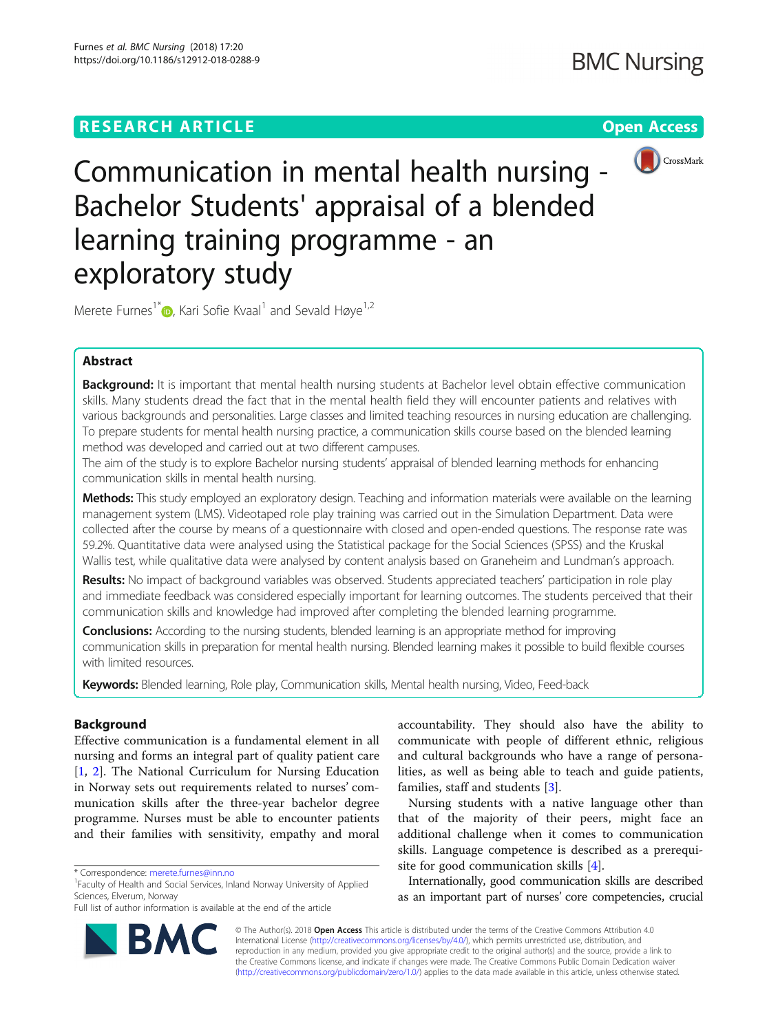# **RESEARCH ARTICLE Example 2014 12:30 The Contract of Contract ACCESS**



Communication in mental health nursing - Bachelor Students' appraisal of a blended learning training programme - an exploratory study

Merete Furnes<sup>1\*</sup> $\bullet$ , Kari Sofie Kvaal<sup>1</sup> and Sevald Høye<sup>1,2</sup>

## Abstract

Background: It is important that mental health nursing students at Bachelor level obtain effective communication skills. Many students dread the fact that in the mental health field they will encounter patients and relatives with various backgrounds and personalities. Large classes and limited teaching resources in nursing education are challenging. To prepare students for mental health nursing practice, a communication skills course based on the blended learning method was developed and carried out at two different campuses.

The aim of the study is to explore Bachelor nursing students' appraisal of blended learning methods for enhancing communication skills in mental health nursing.

Methods: This study employed an exploratory design. Teaching and information materials were available on the learning management system (LMS). Videotaped role play training was carried out in the Simulation Department. Data were collected after the course by means of a questionnaire with closed and open-ended questions. The response rate was 59.2%. Quantitative data were analysed using the Statistical package for the Social Sciences (SPSS) and the Kruskal Wallis test, while qualitative data were analysed by content analysis based on Graneheim and Lundman's approach.

Results: No impact of background variables was observed. Students appreciated teachers' participation in role play and immediate feedback was considered especially important for learning outcomes. The students perceived that their communication skills and knowledge had improved after completing the blended learning programme.

**Conclusions:** According to the nursing students, blended learning is an appropriate method for improving communication skills in preparation for mental health nursing. Blended learning makes it possible to build flexible courses with limited resources.

Keywords: Blended learning, Role play, Communication skills, Mental health nursing, Video, Feed-back

## Background

Effective communication is a fundamental element in all nursing and forms an integral part of quality patient care [[1,](#page-8-0) [2\]](#page-8-0). The National Curriculum for Nursing Education in Norway sets out requirements related to nurses' communication skills after the three-year bachelor degree programme. Nurses must be able to encounter patients and their families with sensitivity, empathy and moral

BA

accountability. They should also have the ability to communicate with people of different ethnic, religious and cultural backgrounds who have a range of personalities, as well as being able to teach and guide patients, families, staff and students [[3\]](#page-9-0).

Nursing students with a native language other than that of the majority of their peers, might face an additional challenge when it comes to communication skills. Language competence is described as a prerequisite for good communication skills [[4\]](#page-9-0).

Internationally, good communication skills are described as an important part of nurses' core competencies, crucial

© The Author(s). 2018 Open Access This article is distributed under the terms of the Creative Commons Attribution 4.0 International License [\(http://creativecommons.org/licenses/by/4.0/](http://creativecommons.org/licenses/by/4.0/)), which permits unrestricted use, distribution, and reproduction in any medium, provided you give appropriate credit to the original author(s) and the source, provide a link to the Creative Commons license, and indicate if changes were made. The Creative Commons Public Domain Dedication waiver [\(http://creativecommons.org/publicdomain/zero/1.0/](http://creativecommons.org/publicdomain/zero/1.0/)) applies to the data made available in this article, unless otherwise stated.

<sup>\*</sup> Correspondence: [merete.furnes@inn.no](mailto:merete.furnes@inn.no) <sup>1</sup>

<sup>&</sup>lt;sup>1</sup> Faculty of Health and Social Services, Inland Norway University of Applied Sciences, Elverum, Norway

Full list of author information is available at the end of the article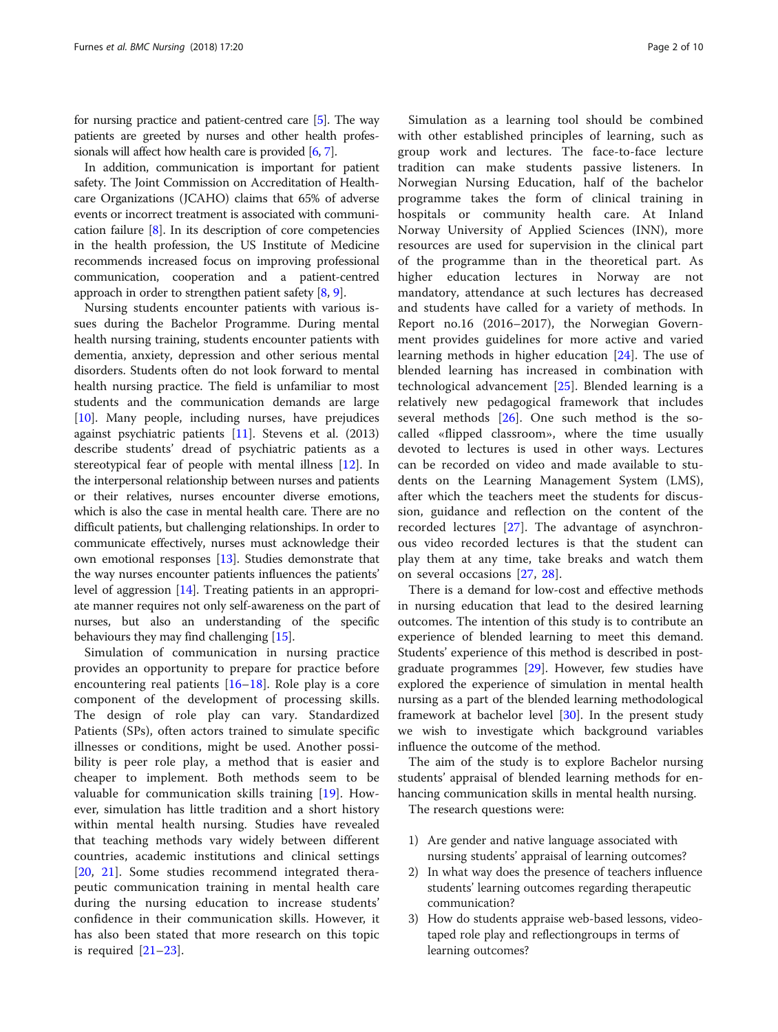for nursing practice and patient-centred care [[5\]](#page-9-0). The way patients are greeted by nurses and other health professionals will affect how health care is provided [\[6,](#page-9-0) [7](#page-9-0)].

In addition, communication is important for patient safety. The Joint Commission on Accreditation of Healthcare Organizations (JCAHO) claims that 65% of adverse events or incorrect treatment is associated with communication failure [[8\]](#page-9-0). In its description of core competencies in the health profession, the US Institute of Medicine recommends increased focus on improving professional communication, cooperation and a patient-centred approach in order to strengthen patient safety [[8](#page-9-0), [9\]](#page-9-0).

Nursing students encounter patients with various issues during the Bachelor Programme. During mental health nursing training, students encounter patients with dementia, anxiety, depression and other serious mental disorders. Students often do not look forward to mental health nursing practice. The field is unfamiliar to most students and the communication demands are large [[10\]](#page-9-0). Many people, including nurses, have prejudices against psychiatric patients [[11](#page-9-0)]. Stevens et al. (2013) describe students' dread of psychiatric patients as a stereotypical fear of people with mental illness [\[12](#page-9-0)]. In the interpersonal relationship between nurses and patients or their relatives, nurses encounter diverse emotions, which is also the case in mental health care. There are no difficult patients, but challenging relationships. In order to communicate effectively, nurses must acknowledge their own emotional responses [\[13](#page-9-0)]. Studies demonstrate that the way nurses encounter patients influences the patients' level of aggression [[14](#page-9-0)]. Treating patients in an appropriate manner requires not only self-awareness on the part of nurses, but also an understanding of the specific behaviours they may find challenging [[15\]](#page-9-0).

Simulation of communication in nursing practice provides an opportunity to prepare for practice before encountering real patients [\[16](#page-9-0)–[18](#page-9-0)]. Role play is a core component of the development of processing skills. The design of role play can vary. Standardized Patients (SPs), often actors trained to simulate specific illnesses or conditions, might be used. Another possibility is peer role play, a method that is easier and cheaper to implement. Both methods seem to be valuable for communication skills training [\[19](#page-9-0)]. However, simulation has little tradition and a short history within mental health nursing. Studies have revealed that teaching methods vary widely between different countries, academic institutions and clinical settings [[20,](#page-9-0) [21\]](#page-9-0). Some studies recommend integrated therapeutic communication training in mental health care during the nursing education to increase students' confidence in their communication skills. However, it has also been stated that more research on this topic is required [\[21](#page-9-0)–[23](#page-9-0)].

Simulation as a learning tool should be combined with other established principles of learning, such as group work and lectures. The face-to-face lecture tradition can make students passive listeners. In Norwegian Nursing Education, half of the bachelor programme takes the form of clinical training in hospitals or community health care. At Inland Norway University of Applied Sciences (INN), more resources are used for supervision in the clinical part of the programme than in the theoretical part. As higher education lectures in Norway are not mandatory, attendance at such lectures has decreased and students have called for a variety of methods. In Report no.16 (2016–2017), the Norwegian Government provides guidelines for more active and varied learning methods in higher education [[24\]](#page-9-0). The use of blended learning has increased in combination with technological advancement [[25](#page-9-0)]. Blended learning is a relatively new pedagogical framework that includes several methods [[26\]](#page-9-0). One such method is the socalled «flipped classroom», where the time usually devoted to lectures is used in other ways. Lectures can be recorded on video and made available to students on the Learning Management System (LMS), after which the teachers meet the students for discussion, guidance and reflection on the content of the recorded lectures [[27](#page-9-0)]. The advantage of asynchronous video recorded lectures is that the student can play them at any time, take breaks and watch them on several occasions [[27,](#page-9-0) [28\]](#page-9-0).

There is a demand for low-cost and effective methods in nursing education that lead to the desired learning outcomes. The intention of this study is to contribute an experience of blended learning to meet this demand. Students' experience of this method is described in postgraduate programmes [[29](#page-9-0)]. However, few studies have explored the experience of simulation in mental health nursing as a part of the blended learning methodological framework at bachelor level [\[30](#page-9-0)]. In the present study we wish to investigate which background variables influence the outcome of the method.

The aim of the study is to explore Bachelor nursing students' appraisal of blended learning methods for enhancing communication skills in mental health nursing.

The research questions were:

- 1) Are gender and native language associated with nursing students' appraisal of learning outcomes?
- 2) In what way does the presence of teachers influence students' learning outcomes regarding therapeutic communication?
- 3) How do students appraise web-based lessons, videotaped role play and reflectiongroups in terms of learning outcomes?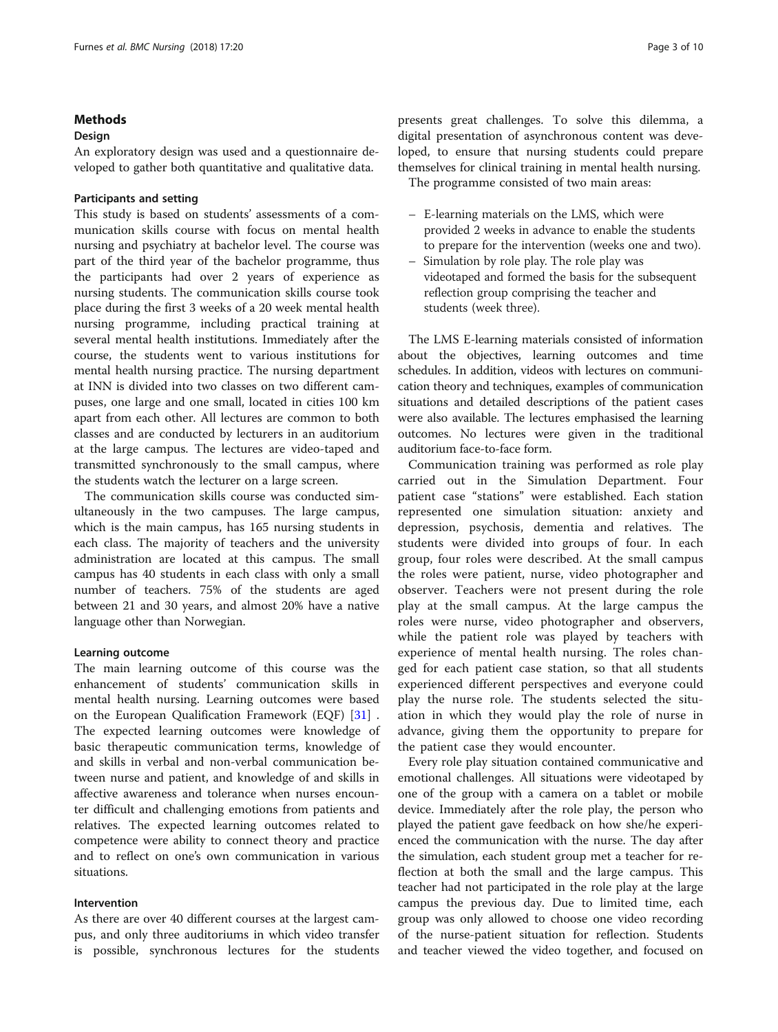## Methods

#### Design

An exploratory design was used and a questionnaire developed to gather both quantitative and qualitative data.

## Participants and setting

This study is based on students' assessments of a communication skills course with focus on mental health nursing and psychiatry at bachelor level. The course was part of the third year of the bachelor programme, thus the participants had over 2 years of experience as nursing students. The communication skills course took place during the first 3 weeks of a 20 week mental health nursing programme, including practical training at several mental health institutions. Immediately after the course, the students went to various institutions for mental health nursing practice. The nursing department at INN is divided into two classes on two different campuses, one large and one small, located in cities 100 km apart from each other. All lectures are common to both classes and are conducted by lecturers in an auditorium at the large campus. The lectures are video-taped and transmitted synchronously to the small campus, where the students watch the lecturer on a large screen.

The communication skills course was conducted simultaneously in the two campuses. The large campus, which is the main campus, has 165 nursing students in each class. The majority of teachers and the university administration are located at this campus. The small campus has 40 students in each class with only a small number of teachers. 75% of the students are aged between 21 and 30 years, and almost 20% have a native language other than Norwegian.

#### Learning outcome

The main learning outcome of this course was the enhancement of students' communication skills in mental health nursing. Learning outcomes were based on the European Qualification Framework (EQF) [\[31](#page-9-0)] . The expected learning outcomes were knowledge of basic therapeutic communication terms, knowledge of and skills in verbal and non-verbal communication between nurse and patient, and knowledge of and skills in affective awareness and tolerance when nurses encounter difficult and challenging emotions from patients and relatives. The expected learning outcomes related to competence were ability to connect theory and practice and to reflect on one's own communication in various situations.

## Intervention

As there are over 40 different courses at the largest campus, and only three auditoriums in which video transfer is possible, synchronous lectures for the students

presents great challenges. To solve this dilemma, a digital presentation of asynchronous content was developed, to ensure that nursing students could prepare themselves for clinical training in mental health nursing. The programme consisted of two main areas:

- E-learning materials on the LMS, which were provided 2 weeks in advance to enable the students to prepare for the intervention (weeks one and two).
- Simulation by role play. The role play was videotaped and formed the basis for the subsequent reflection group comprising the teacher and students (week three).

The LMS E-learning materials consisted of information about the objectives, learning outcomes and time schedules. In addition, videos with lectures on communication theory and techniques, examples of communication situations and detailed descriptions of the patient cases were also available. The lectures emphasised the learning outcomes. No lectures were given in the traditional auditorium face-to-face form.

Communication training was performed as role play carried out in the Simulation Department. Four patient case "stations" were established. Each station represented one simulation situation: anxiety and depression, psychosis, dementia and relatives. The students were divided into groups of four. In each group, four roles were described. At the small campus the roles were patient, nurse, video photographer and observer. Teachers were not present during the role play at the small campus. At the large campus the roles were nurse, video photographer and observers, while the patient role was played by teachers with experience of mental health nursing. The roles changed for each patient case station, so that all students experienced different perspectives and everyone could play the nurse role. The students selected the situation in which they would play the role of nurse in advance, giving them the opportunity to prepare for the patient case they would encounter.

Every role play situation contained communicative and emotional challenges. All situations were videotaped by one of the group with a camera on a tablet or mobile device. Immediately after the role play, the person who played the patient gave feedback on how she/he experienced the communication with the nurse. The day after the simulation, each student group met a teacher for reflection at both the small and the large campus. This teacher had not participated in the role play at the large campus the previous day. Due to limited time, each group was only allowed to choose one video recording of the nurse-patient situation for reflection. Students and teacher viewed the video together, and focused on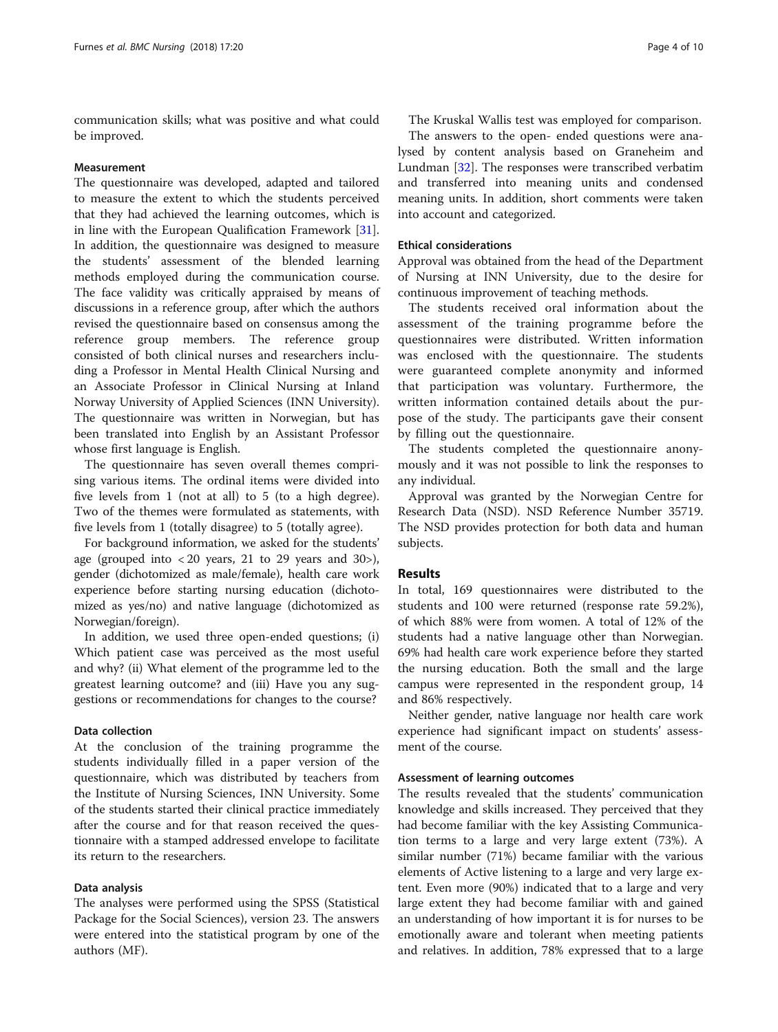communication skills; what was positive and what could be improved.

#### Measurement

The questionnaire was developed, adapted and tailored to measure the extent to which the students perceived that they had achieved the learning outcomes, which is in line with the European Qualification Framework [\[31](#page-9-0)]. In addition, the questionnaire was designed to measure the students' assessment of the blended learning methods employed during the communication course. The face validity was critically appraised by means of discussions in a reference group, after which the authors revised the questionnaire based on consensus among the reference group members. The reference group consisted of both clinical nurses and researchers including a Professor in Mental Health Clinical Nursing and an Associate Professor in Clinical Nursing at Inland Norway University of Applied Sciences (INN University). The questionnaire was written in Norwegian, but has been translated into English by an Assistant Professor whose first language is English.

The questionnaire has seven overall themes comprising various items. The ordinal items were divided into five levels from 1 (not at all) to 5 (to a high degree). Two of the themes were formulated as statements, with five levels from 1 (totally disagree) to 5 (totally agree).

For background information, we asked for the students' age (grouped into  $\langle 20 \rangle$  years, 21 to 29 years and 30 $\rangle$ ), gender (dichotomized as male/female), health care work experience before starting nursing education (dichotomized as yes/no) and native language (dichotomized as Norwegian/foreign).

In addition, we used three open-ended questions; (i) Which patient case was perceived as the most useful and why? (ii) What element of the programme led to the greatest learning outcome? and (iii) Have you any suggestions or recommendations for changes to the course?

#### Data collection

At the conclusion of the training programme the students individually filled in a paper version of the questionnaire, which was distributed by teachers from the Institute of Nursing Sciences, INN University. Some of the students started their clinical practice immediately after the course and for that reason received the questionnaire with a stamped addressed envelope to facilitate its return to the researchers.

## Data analysis

The analyses were performed using the SPSS (Statistical Package for the Social Sciences), version 23. The answers were entered into the statistical program by one of the authors (MF).

The Kruskal Wallis test was employed for comparison.

The answers to the open- ended questions were analysed by content analysis based on Graneheim and Lundman [[32](#page-9-0)]. The responses were transcribed verbatim and transferred into meaning units and condensed meaning units. In addition, short comments were taken into account and categorized.

#### Ethical considerations

Approval was obtained from the head of the Department of Nursing at INN University, due to the desire for continuous improvement of teaching methods.

The students received oral information about the assessment of the training programme before the questionnaires were distributed. Written information was enclosed with the questionnaire. The students were guaranteed complete anonymity and informed that participation was voluntary. Furthermore, the written information contained details about the purpose of the study. The participants gave their consent by filling out the questionnaire.

The students completed the questionnaire anonymously and it was not possible to link the responses to any individual.

Approval was granted by the Norwegian Centre for Research Data (NSD). NSD Reference Number 35719. The NSD provides protection for both data and human subjects.

#### Results

In total, 169 questionnaires were distributed to the students and 100 were returned (response rate 59.2%), of which 88% were from women. A total of 12% of the students had a native language other than Norwegian. 69% had health care work experience before they started the nursing education. Both the small and the large campus were represented in the respondent group, 14 and 86% respectively.

Neither gender, native language nor health care work experience had significant impact on students' assessment of the course.

#### Assessment of learning outcomes

The results revealed that the students' communication knowledge and skills increased. They perceived that they had become familiar with the key Assisting Communication terms to a large and very large extent (73%). A similar number (71%) became familiar with the various elements of Active listening to a large and very large extent. Even more (90%) indicated that to a large and very large extent they had become familiar with and gained an understanding of how important it is for nurses to be emotionally aware and tolerant when meeting patients and relatives. In addition, 78% expressed that to a large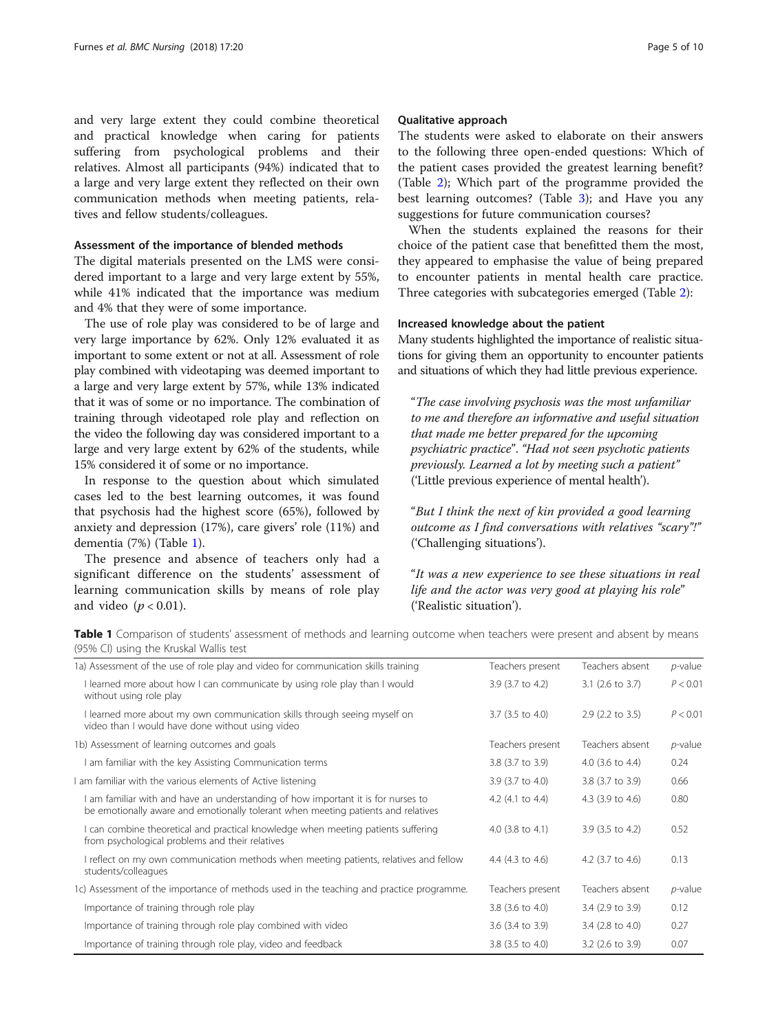and very large extent they could combine theoretical and practical knowledge when caring for patients suffering from psychological problems and their relatives. Almost all participants (94%) indicated that to a large and very large extent they reflected on their own communication methods when meeting patients, relatives and fellow students/colleagues.

#### Assessment of the importance of blended methods

The digital materials presented on the LMS were considered important to a large and very large extent by 55%, while 41% indicated that the importance was medium and 4% that they were of some importance.

The use of role play was considered to be of large and very large importance by 62%. Only 12% evaluated it as important to some extent or not at all. Assessment of role play combined with videotaping was deemed important to a large and very large extent by 57%, while 13% indicated that it was of some or no importance. The combination of training through videotaped role play and reflection on the video the following day was considered important to a large and very large extent by 62% of the students, while 15% considered it of some or no importance.

In response to the question about which simulated cases led to the best learning outcomes, it was found that psychosis had the highest score (65%), followed by anxiety and depression (17%), care givers' role (11%) and dementia (7%) (Table 1).

The presence and absence of teachers only had a significant difference on the students' assessment of learning communication skills by means of role play and video  $(p < 0.01)$ .

#### Qualitative approach

The students were asked to elaborate on their answers to the following three open-ended questions: Which of the patient cases provided the greatest learning benefit? (Table [2\)](#page-5-0); Which part of the programme provided the best learning outcomes? (Table [3](#page-5-0)); and Have you any suggestions for future communication courses?

When the students explained the reasons for their choice of the patient case that benefitted them the most, they appeared to emphasise the value of being prepared to encounter patients in mental health care practice. Three categories with subcategories emerged (Table [2](#page-5-0)):

#### Increased knowledge about the patient

Many students highlighted the importance of realistic situations for giving them an opportunity to encounter patients and situations of which they had little previous experience.

"The case involving psychosis was the most unfamiliar to me and therefore an informative and useful situation that made me better prepared for the upcoming psychiatric practice". "Had not seen psychotic patients previously. Learned a lot by meeting such a patient" ('Little previous experience of mental health').

"But I think the next of kin provided a good learning outcome as I find conversations with relatives "scary"!" ('Challenging situations').

"It was a new experience to see these situations in real life and the actor was very good at playing his role" ('Realistic situation').

Table 1 Comparison of students' assessment of methods and learning outcome when teachers were present and absent by means (95% CI) using the Kruskal Wallis test

| 1a) Assessment of the use of role play and video for communication skills training                                                                                     | Teachers present            | Teachers absent             | $p$ -value |
|------------------------------------------------------------------------------------------------------------------------------------------------------------------------|-----------------------------|-----------------------------|------------|
| I learned more about how I can communicate by using role play than I would<br>without using role play                                                                  | 3.9 (3.7 to 4.2)            | $3.1$ (2.6 to 3.7)          | P < 0.01   |
| I learned more about my own communication skills through seeing myself on<br>video than I would have done without using video                                          | $3.7$ (3.5 to 4.0)          | 2.9 (2.2 to 3.5)            | P < 0.01   |
| 1b) Assessment of learning outcomes and goals                                                                                                                          | Teachers present            | Teachers absent             | $p$ -value |
| I am familiar with the key Assisting Communication terms                                                                                                               | 3.8 (3.7 to 3.9)            | 4.0 $(3.6 \text{ to } 4.4)$ | 0.24       |
| I am familiar with the various elements of Active listening                                                                                                            | 3.9 (3.7 to 4.0)            | 3.8 (3.7 to 3.9)            | 0.66       |
| I am familiar with and have an understanding of how important it is for nurses to<br>be emotionally aware and emotionally tolerant when meeting patients and relatives | 4.2 $(4.1 \text{ to } 4.4)$ | 4.3 (3.9 to 4.6)            | 0.80       |
| can combine theoretical and practical knowledge when meeting patients suffering<br>from psychological problems and their relatives                                     | 4.0 $(3.8 \text{ to } 4.1)$ | 3.9 (3.5 to 4.2)            | 0.52       |
| I reflect on my own communication methods when meeting patients, relatives and fellow<br>students/colleagues                                                           | 4.4 $(4.3 \text{ to } 4.6)$ | 4.2 (3.7 to 4.6)            | 0.13       |
| 1c) Assessment of the importance of methods used in the teaching and practice programme.                                                                               | Teachers present            | Teachers absent             | $p$ -value |
| Importance of training through role play                                                                                                                               | $3.8$ (3.6 to 4.0)          | 3.4 (2.9 to 3.9)            | 0.12       |
| Importance of training through role play combined with video                                                                                                           | $3.6$ (3.4 to 3.9)          | 3.4 (2.8 to 4.0)            | 0.27       |
| Importance of training through role play, video and feedback                                                                                                           | 3.8 (3.5 to 4.0)            | 3.2 (2.6 to 3.9)            | 0.07       |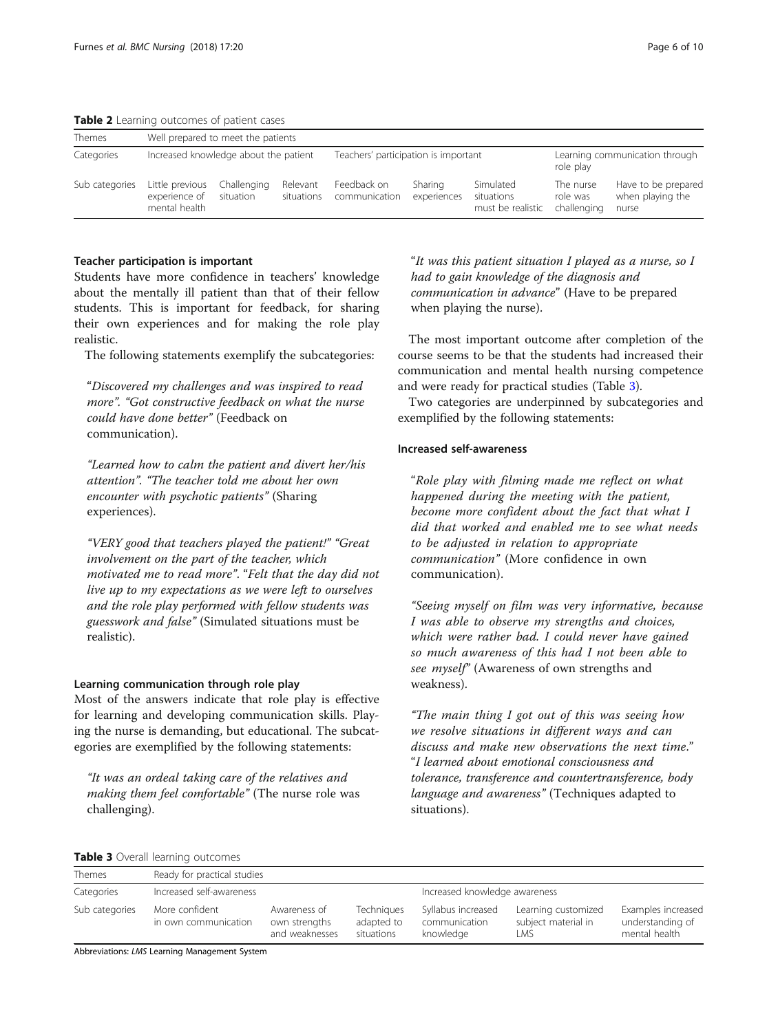<span id="page-5-0"></span>Table 2 Learning outcomes of patient cases

| Themes         | Well prepared to meet the patients                |                          |                                      |                              |                        |                                              |                                      |                                                  |  |
|----------------|---------------------------------------------------|--------------------------|--------------------------------------|------------------------------|------------------------|----------------------------------------------|--------------------------------------|--------------------------------------------------|--|
| Categories     | Increased knowledge about the patient             |                          | Teachers' participation is important |                              |                        | Learning communication through<br>role play  |                                      |                                                  |  |
| Sub categories | Little previous<br>experience of<br>mental health | Challenging<br>situation | Relevant<br>situations               | Feedback on<br>communication | Sharing<br>experiences | Simulated<br>situations<br>must be realistic | The nurse<br>role was<br>challenging | Have to be prepared<br>when playing the<br>nurse |  |

## Teacher participation is important

Students have more confidence in teachers' knowledge about the mentally ill patient than that of their fellow students. This is important for feedback, for sharing their own experiences and for making the role play realistic.

The following statements exemplify the subcategories:

"Discovered my challenges and was inspired to read more". "Got constructive feedback on what the nurse could have done better" (Feedback on communication).

"Learned how to calm the patient and divert her/his attention". "The teacher told me about her own encounter with psychotic patients" (Sharing experiences).

"VERY good that teachers played the patient!" "Great involvement on the part of the teacher, which motivated me to read more". "Felt that the day did not live up to my expectations as we were left to ourselves and the role play performed with fellow students was guesswork and false" (Simulated situations must be realistic).

## Learning communication through role play

Most of the answers indicate that role play is effective for learning and developing communication skills. Playing the nurse is demanding, but educational. The subcategories are exemplified by the following statements:

"It was an ordeal taking care of the relatives and making them feel comfortable" (The nurse role was challenging).

"It was this patient situation I played as a nurse, so I had to gain knowledge of the diagnosis and communication in advance" (Have to be prepared when playing the nurse).

The most important outcome after completion of the course seems to be that the students had increased their communication and mental health nursing competence and were ready for practical studies (Table 3).

Two categories are underpinned by subcategories and exemplified by the following statements:

## Increased self-awareness

"Role play with filming made me reflect on what happened during the meeting with the patient, become more confident about the fact that what I did that worked and enabled me to see what needs to be adjusted in relation to appropriate communication" (More confidence in own communication).

"Seeing myself on film was very informative, because I was able to observe my strengths and choices, which were rather bad. I could never have gained so much awareness of this had I not been able to see myself" (Awareness of own strengths and weakness).

"The main thing I got out of this was seeing how we resolve situations in different ways and can discuss and make new observations the next time." "I learned about emotional consciousness and tolerance, transference and countertransference, body language and awareness" (Techniques adapted to situations).

#### Table 3 Overall learning outcomes

| Themes         | Ready for practical studies            |                                                 |                                               |                                                  |                                                     |                                                         |  |
|----------------|----------------------------------------|-------------------------------------------------|-----------------------------------------------|--------------------------------------------------|-----------------------------------------------------|---------------------------------------------------------|--|
| Categories     | Increased self-awareness               |                                                 |                                               | Increased knowledge awareness                    |                                                     |                                                         |  |
| Sub categories | More confident<br>in own communication | Awareness of<br>own strengths<br>and weaknesses | <b>Techniques</b><br>adapted to<br>situations | Syllabus increased<br>communication<br>knowledge | Learning customized<br>subject material in<br>i MS. | Examples increased<br>understanding of<br>mental health |  |

Abbreviations: LMS Learning Management System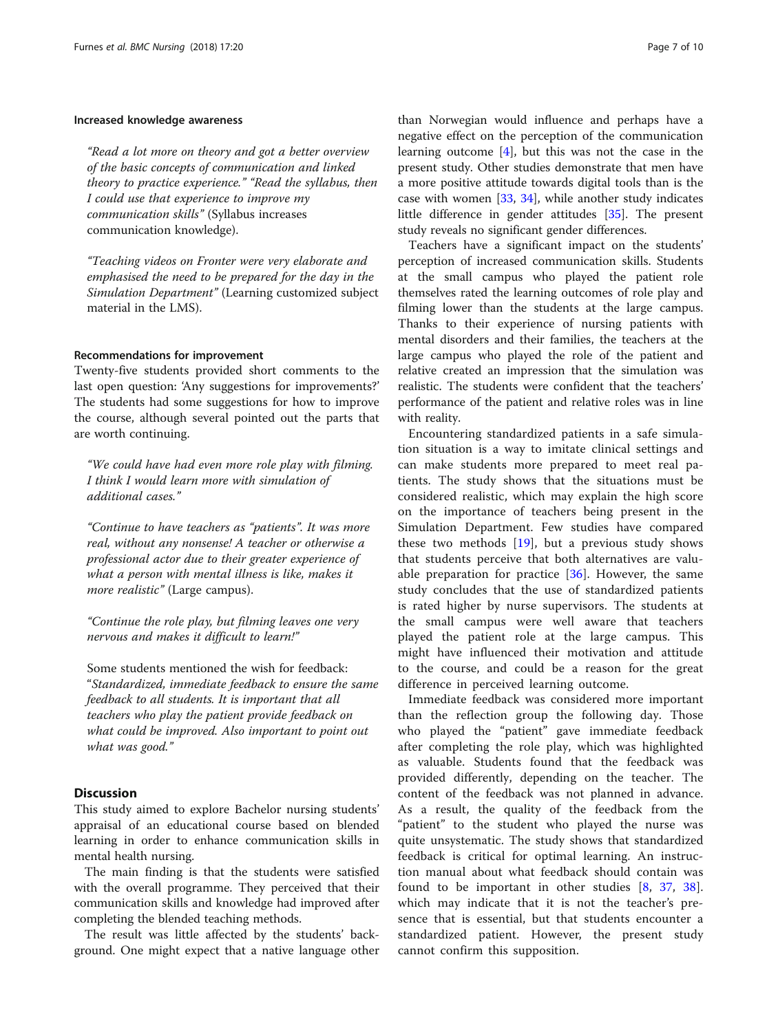## Increased knowledge awareness

"Read a lot more on theory and got a better overview of the basic concepts of communication and linked theory to practice experience." "Read the syllabus, then I could use that experience to improve my communication skills" (Syllabus increases communication knowledge).

"Teaching videos on Fronter were very elaborate and emphasised the need to be prepared for the day in the Simulation Department" (Learning customized subject material in the LMS).

## Recommendations for improvement

Twenty-five students provided short comments to the last open question: 'Any suggestions for improvements?' The students had some suggestions for how to improve the course, although several pointed out the parts that are worth continuing.

"We could have had even more role play with filming. I think I would learn more with simulation of additional cases."

"Continue to have teachers as "patients". It was more real, without any nonsense! A teacher or otherwise a professional actor due to their greater experience of what a person with mental illness is like, makes it more realistic" (Large campus).

"Continue the role play, but filming leaves one very nervous and makes it difficult to learn!"

Some students mentioned the wish for feedback: "Standardized, immediate feedback to ensure the same feedback to all students. It is important that all teachers who play the patient provide feedback on what could be improved. Also important to point out what was good."

## **Discussion**

This study aimed to explore Bachelor nursing students' appraisal of an educational course based on blended learning in order to enhance communication skills in mental health nursing.

The main finding is that the students were satisfied with the overall programme. They perceived that their communication skills and knowledge had improved after completing the blended teaching methods.

The result was little affected by the students' background. One might expect that a native language other

than Norwegian would influence and perhaps have a negative effect on the perception of the communication learning outcome [\[4](#page-9-0)], but this was not the case in the present study. Other studies demonstrate that men have a more positive attitude towards digital tools than is the case with women [\[33](#page-9-0), [34](#page-9-0)], while another study indicates little difference in gender attitudes [[35\]](#page-9-0). The present study reveals no significant gender differences.

Teachers have a significant impact on the students' perception of increased communication skills. Students at the small campus who played the patient role themselves rated the learning outcomes of role play and filming lower than the students at the large campus. Thanks to their experience of nursing patients with mental disorders and their families, the teachers at the large campus who played the role of the patient and relative created an impression that the simulation was realistic. The students were confident that the teachers' performance of the patient and relative roles was in line with reality.

Encountering standardized patients in a safe simulation situation is a way to imitate clinical settings and can make students more prepared to meet real patients. The study shows that the situations must be considered realistic, which may explain the high score on the importance of teachers being present in the Simulation Department. Few studies have compared these two methods [\[19](#page-9-0)], but a previous study shows that students perceive that both alternatives are valuable preparation for practice  $[36]$  $[36]$ . However, the same study concludes that the use of standardized patients is rated higher by nurse supervisors. The students at the small campus were well aware that teachers played the patient role at the large campus. This might have influenced their motivation and attitude to the course, and could be a reason for the great difference in perceived learning outcome.

Immediate feedback was considered more important than the reflection group the following day. Those who played the "patient" gave immediate feedback after completing the role play, which was highlighted as valuable. Students found that the feedback was provided differently, depending on the teacher. The content of the feedback was not planned in advance. As a result, the quality of the feedback from the "patient" to the student who played the nurse was quite unsystematic. The study shows that standardized feedback is critical for optimal learning. An instruction manual about what feedback should contain was found to be important in other studies [[8](#page-9-0), [37](#page-9-0), [38](#page-9-0)]. which may indicate that it is not the teacher's presence that is essential, but that students encounter a standardized patient. However, the present study cannot confirm this supposition.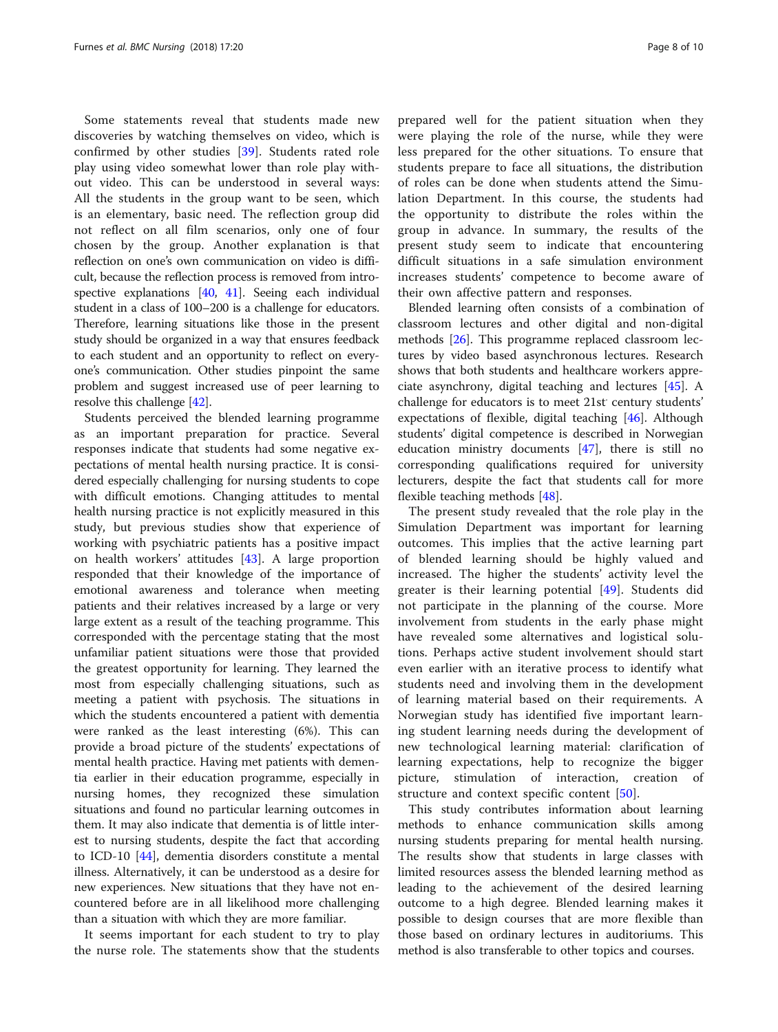Some statements reveal that students made new discoveries by watching themselves on video, which is confirmed by other studies [[39](#page-9-0)]. Students rated role play using video somewhat lower than role play without video. This can be understood in several ways: All the students in the group want to be seen, which is an elementary, basic need. The reflection group did not reflect on all film scenarios, only one of four chosen by the group. Another explanation is that reflection on one's own communication on video is difficult, because the reflection process is removed from introspective explanations [[40](#page-9-0), [41](#page-9-0)]. Seeing each individual student in a class of 100–200 is a challenge for educators. Therefore, learning situations like those in the present study should be organized in a way that ensures feedback to each student and an opportunity to reflect on everyone's communication. Other studies pinpoint the same problem and suggest increased use of peer learning to resolve this challenge [\[42\]](#page-9-0).

Students perceived the blended learning programme as an important preparation for practice. Several responses indicate that students had some negative expectations of mental health nursing practice. It is considered especially challenging for nursing students to cope with difficult emotions. Changing attitudes to mental health nursing practice is not explicitly measured in this study, but previous studies show that experience of working with psychiatric patients has a positive impact on health workers' attitudes [\[43](#page-9-0)]. A large proportion responded that their knowledge of the importance of emotional awareness and tolerance when meeting patients and their relatives increased by a large or very large extent as a result of the teaching programme. This corresponded with the percentage stating that the most unfamiliar patient situations were those that provided the greatest opportunity for learning. They learned the most from especially challenging situations, such as meeting a patient with psychosis. The situations in which the students encountered a patient with dementia were ranked as the least interesting (6%). This can provide a broad picture of the students' expectations of mental health practice. Having met patients with dementia earlier in their education programme, especially in nursing homes, they recognized these simulation situations and found no particular learning outcomes in them. It may also indicate that dementia is of little interest to nursing students, despite the fact that according to ICD-10 [[44\]](#page-9-0), dementia disorders constitute a mental illness. Alternatively, it can be understood as a desire for new experiences. New situations that they have not encountered before are in all likelihood more challenging than a situation with which they are more familiar.

It seems important for each student to try to play the nurse role. The statements show that the students

prepared well for the patient situation when they were playing the role of the nurse, while they were less prepared for the other situations. To ensure that students prepare to face all situations, the distribution of roles can be done when students attend the Simulation Department. In this course, the students had the opportunity to distribute the roles within the group in advance. In summary, the results of the present study seem to indicate that encountering difficult situations in a safe simulation environment increases students' competence to become aware of their own affective pattern and responses.

Blended learning often consists of a combination of classroom lectures and other digital and non-digital methods [\[26\]](#page-9-0). This programme replaced classroom lectures by video based asynchronous lectures. Research shows that both students and healthcare workers appreciate asynchrony, digital teaching and lectures [[45](#page-9-0)]. A challenge for educators is to meet 21st century students' expectations of flexible, digital teaching [\[46](#page-9-0)]. Although students' digital competence is described in Norwegian education ministry documents [[47\]](#page-9-0), there is still no corresponding qualifications required for university lecturers, despite the fact that students call for more flexible teaching methods [[48](#page-9-0)].

The present study revealed that the role play in the Simulation Department was important for learning outcomes. This implies that the active learning part of blended learning should be highly valued and increased. The higher the students' activity level the greater is their learning potential [\[49](#page-9-0)]. Students did not participate in the planning of the course. More involvement from students in the early phase might have revealed some alternatives and logistical solutions. Perhaps active student involvement should start even earlier with an iterative process to identify what students need and involving them in the development of learning material based on their requirements. A Norwegian study has identified five important learning student learning needs during the development of new technological learning material: clarification of learning expectations, help to recognize the bigger picture, stimulation of interaction, creation of structure and context specific content [[50](#page-9-0)].

This study contributes information about learning methods to enhance communication skills among nursing students preparing for mental health nursing. The results show that students in large classes with limited resources assess the blended learning method as leading to the achievement of the desired learning outcome to a high degree. Blended learning makes it possible to design courses that are more flexible than those based on ordinary lectures in auditoriums. This method is also transferable to other topics and courses.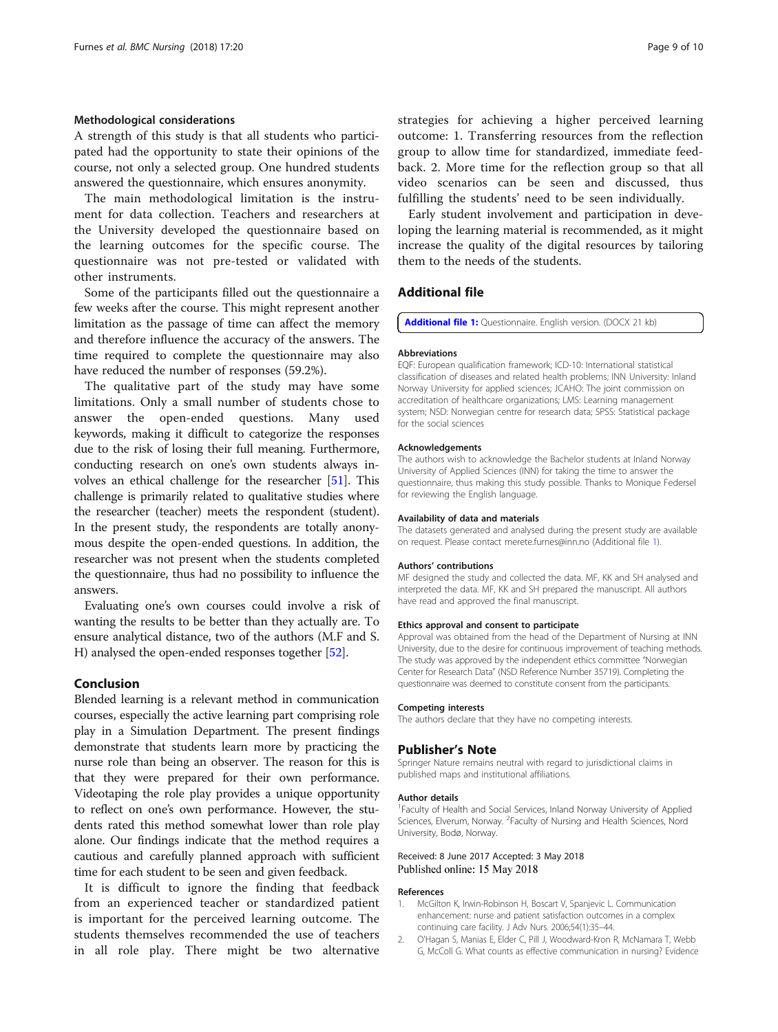## <span id="page-8-0"></span>Methodological considerations

A strength of this study is that all students who participated had the opportunity to state their opinions of the course, not only a selected group. One hundred students answered the questionnaire, which ensures anonymity.

The main methodological limitation is the instrument for data collection. Teachers and researchers at the University developed the questionnaire based on the learning outcomes for the specific course. The questionnaire was not pre-tested or validated with other instruments.

Some of the participants filled out the questionnaire a few weeks after the course. This might represent another limitation as the passage of time can affect the memory and therefore influence the accuracy of the answers. The time required to complete the questionnaire may also have reduced the number of responses (59.2%).

The qualitative part of the study may have some limitations. Only a small number of students chose to answer the open-ended questions. Many used keywords, making it difficult to categorize the responses due to the risk of losing their full meaning. Furthermore, conducting research on one's own students always involves an ethical challenge for the researcher [[51](#page-9-0)]. This challenge is primarily related to qualitative studies where the researcher (teacher) meets the respondent (student). In the present study, the respondents are totally anonymous despite the open-ended questions. In addition, the researcher was not present when the students completed the questionnaire, thus had no possibility to influence the answers.

Evaluating one's own courses could involve a risk of wanting the results to be better than they actually are. To ensure analytical distance, two of the authors (M.F and S. H) analysed the open-ended responses together [\[52\]](#page-9-0).

## Conclusion

Blended learning is a relevant method in communication courses, especially the active learning part comprising role play in a Simulation Department. The present findings demonstrate that students learn more by practicing the nurse role than being an observer. The reason for this is that they were prepared for their own performance. Videotaping the role play provides a unique opportunity to reflect on one's own performance. However, the students rated this method somewhat lower than role play alone. Our findings indicate that the method requires a cautious and carefully planned approach with sufficient time for each student to be seen and given feedback.

It is difficult to ignore the finding that feedback from an experienced teacher or standardized patient is important for the perceived learning outcome. The students themselves recommended the use of teachers in all role play. There might be two alternative strategies for achieving a higher perceived learning outcome: 1. Transferring resources from the reflection group to allow time for standardized, immediate feedback. 2. More time for the reflection group so that all video scenarios can be seen and discussed, thus fulfilling the students' need to be seen individually.

Early student involvement and participation in developing the learning material is recommended, as it might increase the quality of the digital resources by tailoring them to the needs of the students.

## Additional file

[Additional file 1:](https://doi.org/10.1186/s12912-018-0288-9) Questionnaire. English version. (DOCX 21 kb)

#### Abbreviations

EQF: European qualification framework; ICD-10: International statistical classification of diseases and related health problems; INN University: Inland Norway University for applied sciences; JCAHO: The joint commission on accreditation of healthcare organizations; LMS: Learning management system; NSD: Norwegian centre for research data; SPSS: Statistical package for the social sciences

#### Acknowledgements

The authors wish to acknowledge the Bachelor students at Inland Norway University of Applied Sciences (INN) for taking the time to answer the questionnaire, thus making this study possible. Thanks to Monique Federsel for reviewing the English language.

#### Availability of data and materials

The datasets generated and analysed during the present study are available on request. Please contact merete.furnes@inn.no (Additional file 1).

#### Authors' contributions

MF designed the study and collected the data. MF, KK and SH analysed and interpreted the data. MF, KK and SH prepared the manuscript. All authors have read and approved the final manuscript.

#### Ethics approval and consent to participate

Approval was obtained from the head of the Department of Nursing at INN University, due to the desire for continuous improvement of teaching methods. The study was approved by the independent ethics committee "Norwegian Center for Research Data" (NSD Reference Number 35719). Completing the questionnaire was deemed to constitute consent from the participants.

#### Competing interests

The authors declare that they have no competing interests.

#### Publisher's Note

Springer Nature remains neutral with regard to jurisdictional claims in published maps and institutional affiliations.

#### Author details

<sup>1</sup> Faculty of Health and Social Services, Inland Norway University of Applied Sciences, Elverum, Norway. <sup>2</sup> Faculty of Nursing and Health Sciences, Nord University, Bodø, Norway.

#### Received: 8 June 2017 Accepted: 3 May 2018 Published online: 15 May 2018

#### References

- 1. McGilton K, Irwin-Robinson H, Boscart V, Spanjevic L. Communication enhancement: nurse and patient satisfaction outcomes in a complex continuing care facility. J Adv Nurs. 2006;54(1):35–44.
- 2. O'Hagan S, Manias E, Elder C, Pill J, Woodward-Kron R, McNamara T, Webb G, McColl G. What counts as effective communication in nursing? Evidence